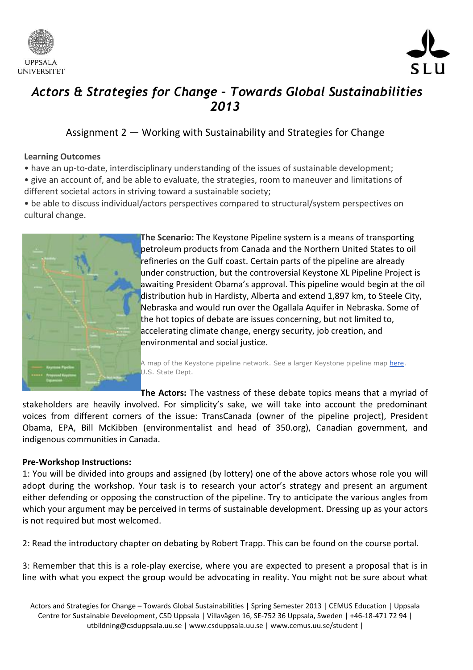



# *Actors & Strategies for Change – Towards Global Sustainabilities 2013*

# Assignment 2 — Working with Sustainability and Strategies for Change

## **Learning Outcomes**

- have an up-to-date, interdisciplinary understanding of the issues of sustainable development;
- give an account of, and be able to evaluate, the strategies, room to maneuver and limitations of different societal actors in striving toward a sustainable society;
- be able to discuss individual/actors perspectives compared to structural/system perspectives on cultural change.



**The Scenario:** The Keystone Pipeline system is a means of transporting petroleum products from Canada and the Northern United States to oil refineries on the Gulf coast. Certain parts of the pipeline are already under construction, but the controversial Keystone XL Pipeline Project is awaiting President Obama's approval. This pipeline would begin at the oil distribution hub in Hardisty, Alberta and extend 1,897 km, to Steele City, Nebraska and would run over the Ogallala Aquifer in Nebraska. Some of the hot topics of debate are issues concerning, but not limited to, accelerating climate change, energy security, job creation, and environmental and social justice.

A map of the Keystone pipeline network. See a larger Keystone pipeline map [here.](http://www.keystonepipeline-xl.state.gov/img/12/47391/keystone_project_map_900_1.jpg) U.S. State Dept.

**The Actors:** The vastness of these debate topics means that a myriad of stakeholders are heavily involved. For simplicity's sake, we will take into account the predominant voices from different corners of the issue: TransCanada (owner of the pipeline project), President Obama, EPA, Bill McKibben (environmentalist and head of 350.org), Canadian government, and indigenous communities in Canada.

# **Pre-Workshop Instructions:**

1: You will be divided into groups and assigned (by lottery) one of the above actors whose role you will adopt during the workshop. Your task is to research your actor's strategy and present an argument either defending or opposing the construction of the pipeline. Try to anticipate the various angles from which your argument may be perceived in terms of sustainable development. Dressing up as your actors is not required but most welcomed.

2: Read the introductory chapter on debating by Robert Trapp. This can be found on the course portal.

3: Remember that this is a role-play exercise, where you are expected to present a proposal that is in line with what you expect the group would be advocating in reality. You might not be sure about what

Actors and Strategies for Change – Towards Global Sustainabilities | Spring Semester 2013 | CEMUS Education | Uppsala Centre for Sustainable Development, CSD Uppsala | Villavägen 16, SE-752 36 Uppsala, Sweden | +46-18-471 72 94 | utbildning@csduppsala.uu.se | www.csduppsala.uu.se | www.cemus.uu.se/student |